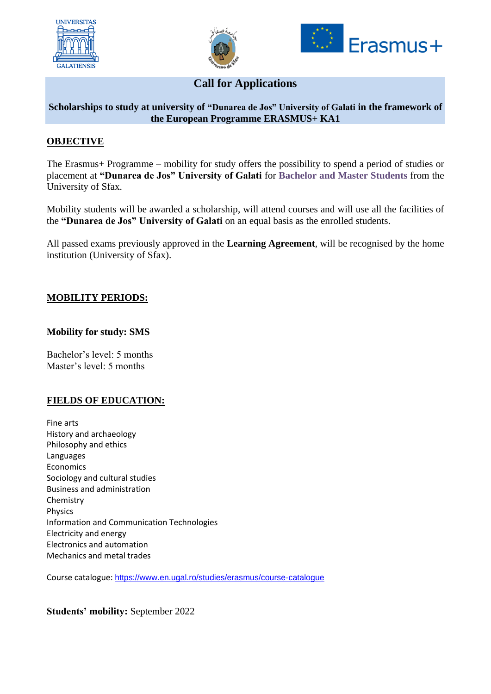





# **Call for Applications**

#### **Scholarships to study at university of "Dunarea de Jos" University of Galati in the framework of the European Programme ERASMUS+ KA1**

## **OBJECTIVE**

The Erasmus+ Programme – mobility for study offers the possibility to spend a period of studies or placement at **"Dunarea de Jos" University of Galati** for **Bachelor and Master Students** from the University of Sfax.

Mobility students will be awarded a scholarship, will attend courses and will use all the facilities of the **"Dunarea de Jos" University of Galati** on an equal basis as the enrolled students.

All passed exams previously approved in the **Learning Agreement**, will be recognised by the home institution (University of Sfax).

#### **MOBILITY PERIODS:**

#### **Mobility for study: SMS**

Bachelor's level: 5 months Master's level: 5 months

# **FIELDS OF EDUCATION:**

Fine arts History and archaeology Philosophy and ethics Languages Economics Sociology and cultural studies Business and administration Chemistry Physics Information and Communication Technologies Electricity and energy Electronics and automation Mechanics and metal trades

Course catalogue: <https://www.en.ugal.ro/studies/erasmus/course-catalogue>

**Students' mobility:** September 2022